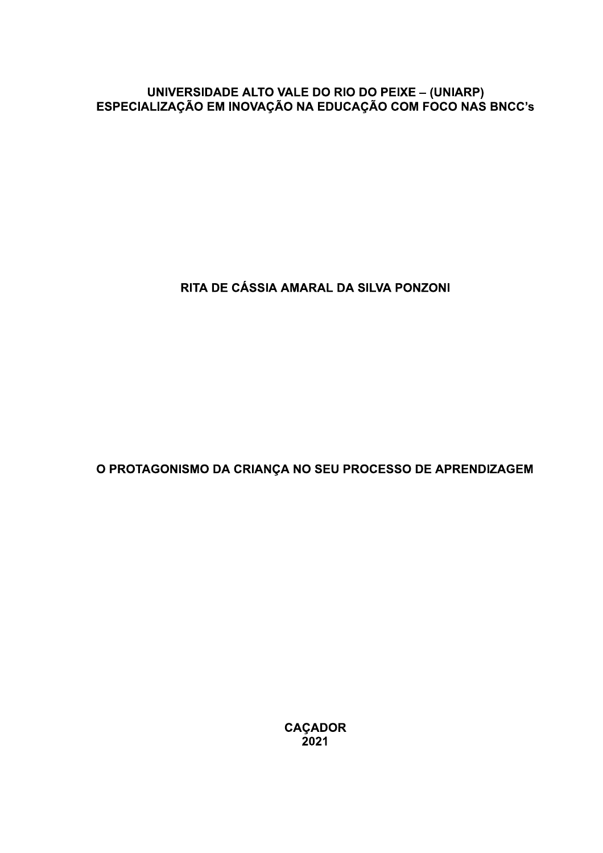# UNIVERSIDADE ALTO VALE DO RIO DO PEIXE - (UNIARP)<br>ESPECIALIZAÇÃO EM INOVAÇÃO NA EDUCAÇÃO COM FOCO NAS BNCC's

RITA DE CÁSSIA AMARAL DA SILVA PONZONI

O PROTAGONISMO DA CRIANÇA NO SEU PROCESSO DE APRENDIZAGEM

**CAÇADOR**  $2021$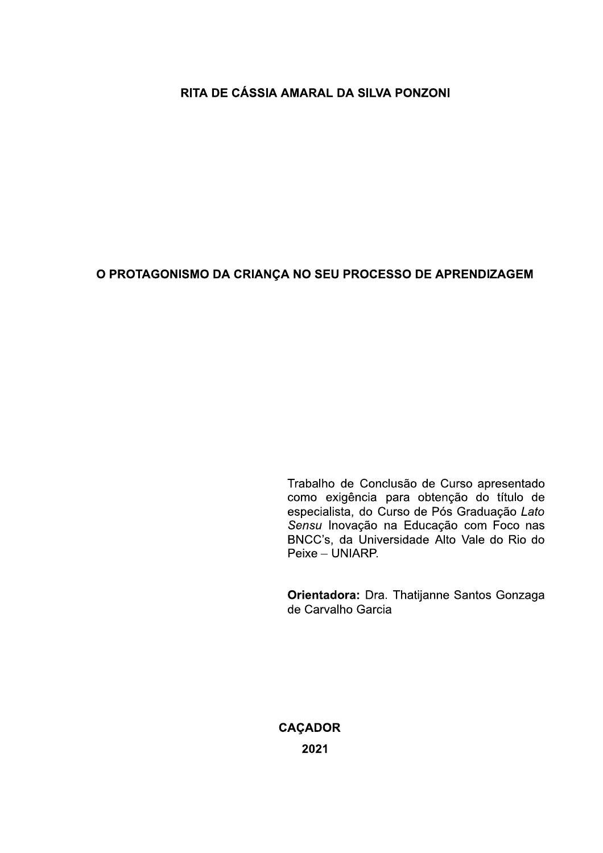# RITA DE CÁSSIA AMARAL DA SILVA PONZONI

# O PROTAGONISMO DA CRIANÇA NO SEU PROCESSO DE APRENDIZAGEM

Trabalho de Conclusão de Curso apresentado como exigência para obtenção do título de especialista, do Curso de Pós Graduação Lato Sensu Inovação na Educação com Foco nas BNCC's, da Universidade Alto Vale do Rio do Peixe - UNIARP.

Orientadora: Dra. Thatijanne Santos Gonzaga de Carvalho Garcia

**CAÇADOR** 2021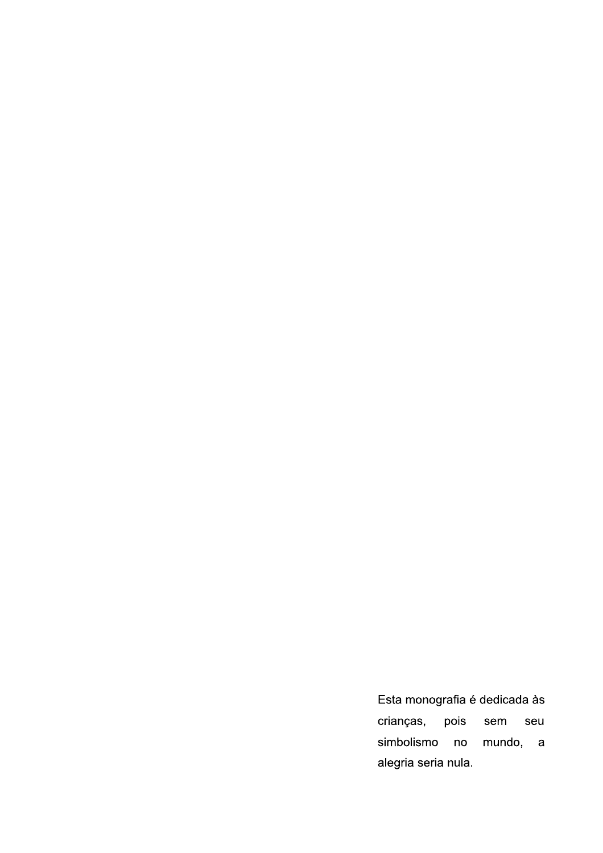Esta monografia é dedicada às pois crianças, sem seu simbolismo mundo, a  $no$ alegria seria nula.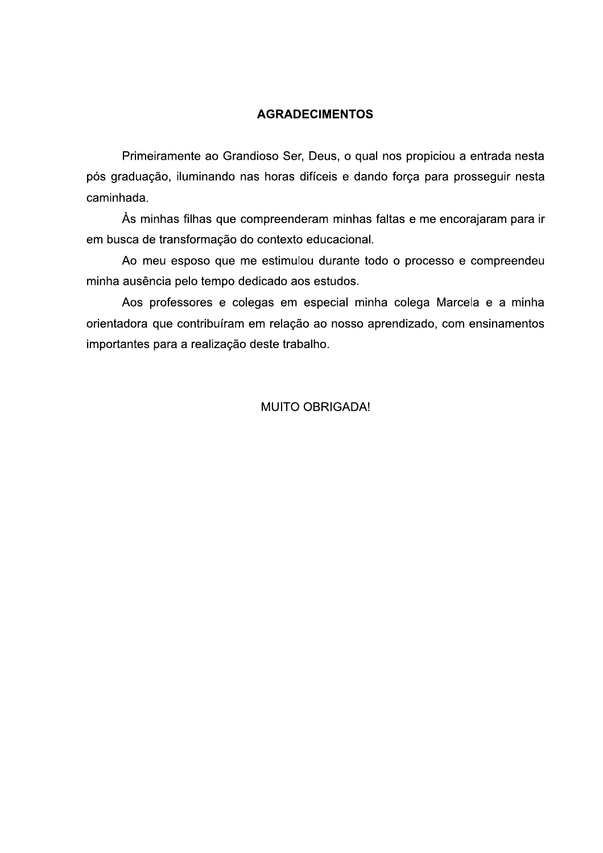#### **AGRADECIMENTOS**

Primeiramente ao Grandioso Ser, Deus, o qual nos propiciou a entrada nesta pós graduação, iluminando nas horas difíceis e dando força para prosseguir nesta caminhada.

Às minhas filhas que compreenderam minhas faltas e me encorajaram para ir em busca de transformação do contexto educacional.

Ao meu esposo que me estimulou durante todo o processo e compreendeu minha ausência pelo tempo dedicado aos estudos.

Aos professores e colegas em especial minha colega Marcela e a minha orientadora que contribuíram em relação ao nosso aprendizado, com ensinamentos importantes para a realização deste trabalho.

#### **MUITO OBRIGADA!**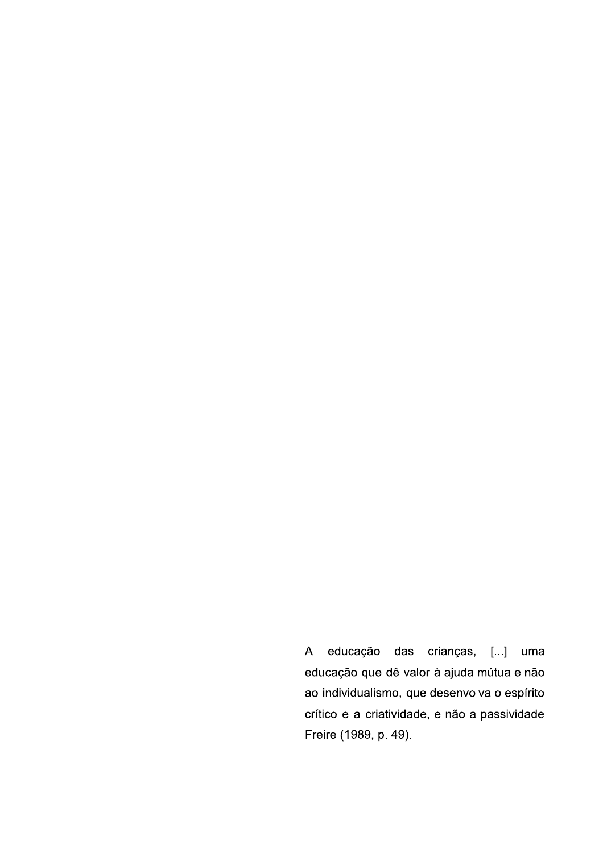$\overline{A}$ educação das crianças, [...] uma educação que dê valor à ajuda mútua e não ao individualismo, que desenvolva o espírito crítico e a criatividade, e não a passividade Freire (1989, p. 49).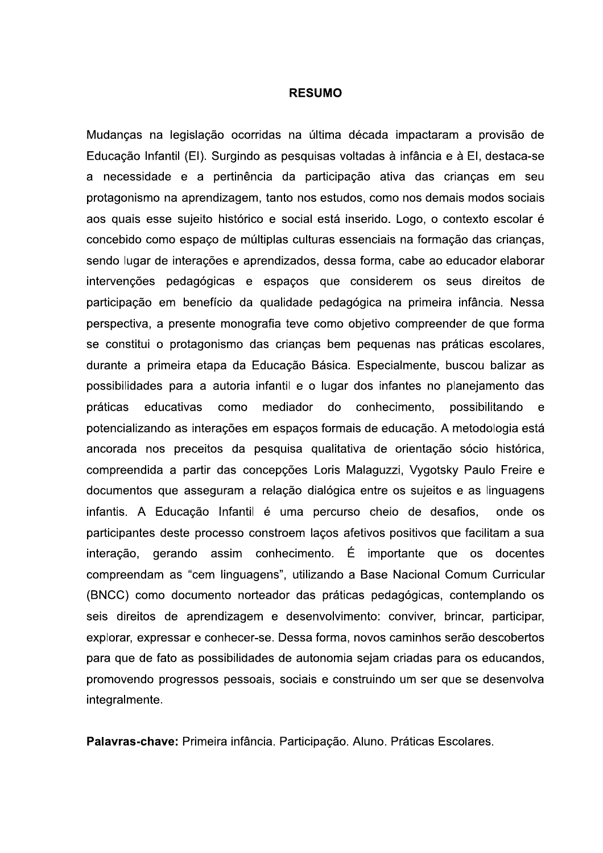#### **RESUMO**

Mudanças na legislação ocorridas na última década impactaram a provisão de Educação Infantil (EI). Surgindo as pesquisas voltadas à infância e à EI, destaca-se a necessidade e a pertinência da participação ativa das crianças em seu protagonismo na aprendizagem, tanto nos estudos, como nos demais modos sociais aos quais esse sujeito histórico e social está inserido. Logo, o contexto escolar é concebido como espaço de múltiplas culturas essenciais na formação das crianças, sendo lugar de interações e aprendizados, dessa forma, cabe ao educador elaborar intervenções pedagógicas e espaços que considerem os seus direitos de participação em benefício da qualidade pedagógica na primeira infância. Nessa perspectiva, a presente monografia teve como objetivo compreender de que forma se constitui o protagonismo das crianças bem pequenas nas práticas escolares, durante a primeira etapa da Educação Básica. Especialmente, buscou balizar as possibilidades para a autoria infantil e o lugar dos infantes no planejamento das práticas educativas como mediador do conhecimento. possibilitando  $\mathbf{e}$ potencializando as interações em espaços formais de educação. A metodologia está ancorada nos preceitos da pesquisa qualitativa de orientação sócio histórica, compreendida a partir das concepções Loris Malaguzzi, Vygotsky Paulo Freire e documentos que asseguram a relação dialógica entre os sujeitos e as linguagens infantis. A Educação Infantil é uma percurso cheio de desafios, onde os participantes deste processo constroem laços afetivos positivos que facilitam a sua interação, gerando assim conhecimento. É importante que os docentes compreendam as "cem linguagens", utilizando a Base Nacional Comum Curricular (BNCC) como documento norteador das práticas pedagógicas, contemplando os seis direitos de aprendizagem e desenvolvimento: conviver, brincar, participar, explorar, expressar e conhecer-se. Dessa forma, novos caminhos serão descobertos para que de fato as possibilidades de autonomia sejam criadas para os educandos, promovendo progressos pessoais, sociais e construindo um ser que se desenvolva integralmente.

Palavras-chave: Primeira infância. Participação. Aluno. Práticas Escolares.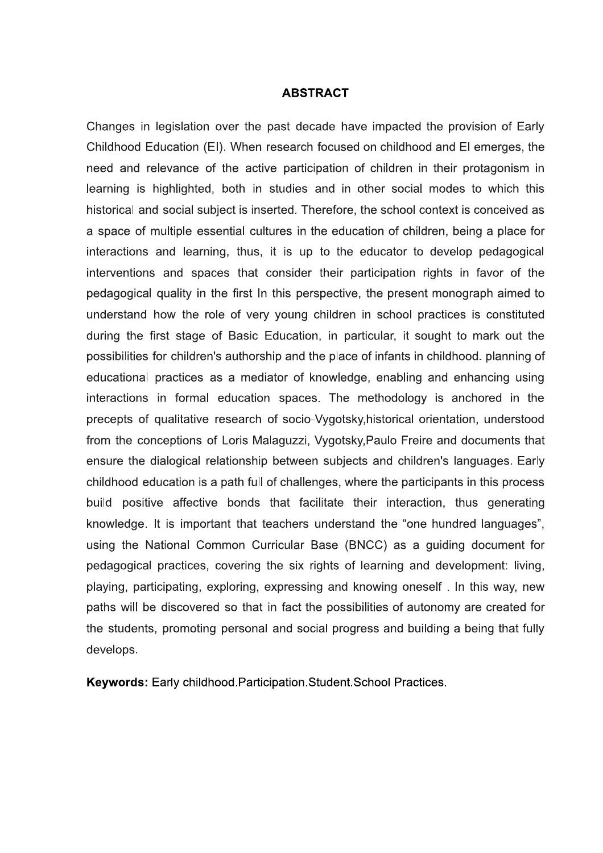#### **ABSTRACT**

Changes in legislation over the past decade have impacted the provision of Early Childhood Education (EI). When research focused on childhood and EI emerges, the need and relevance of the active participation of children in their protagonism in learning is highlighted, both in studies and in other social modes to which this historical and social subject is inserted. Therefore, the school context is conceived as a space of multiple essential cultures in the education of children, being a place for interactions and learning, thus, it is up to the educator to develop pedagogical interventions and spaces that consider their participation rights in favor of the pedagogical quality in the first In this perspective, the present monograph aimed to understand how the role of very young children in school practices is constituted during the first stage of Basic Education, in particular, it sought to mark out the possibilities for children's authorship and the place of infants in childhood, planning of educational practices as a mediator of knowledge, enabling and enhancing using interactions in formal education spaces. The methodology is anchored in the precepts of qualitative research of socio-Vygotsky, historical orientation, understood from the conceptions of Loris Malaguzzi, Vygotsky, Paulo Freire and documents that ensure the dialogical relationship between subjects and children's languages. Early childhood education is a path full of challenges, where the participants in this process build positive affective bonds that facilitate their interaction, thus generating knowledge. It is important that teachers understand the "one hundred languages", using the National Common Curricular Base (BNCC) as a quiding document for pedagogical practices, covering the six rights of learning and development: living, playing, participating, exploring, expressing and knowing oneself. In this way, new paths will be discovered so that in fact the possibilities of autonomy are created for the students, promoting personal and social progress and building a being that fully develops.

Keywords: Early childhood. Participation. Student. School Practices.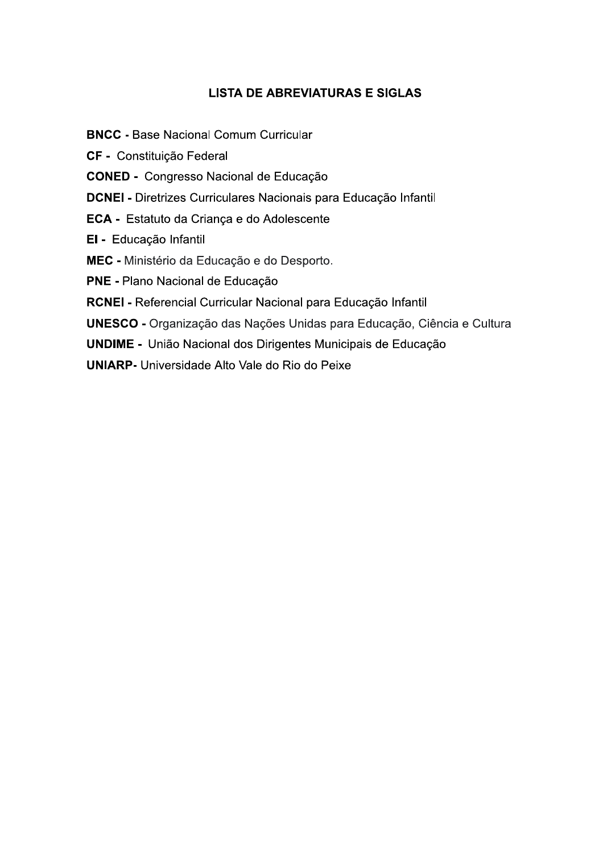# **LISTA DE ABREVIATURAS E SIGLAS**

**BNCC - Base Nacional Comum Curricular** 

CF - Constituição Federal

**CONED - Congresso Nacional de Educação** 

DCNEI - Diretrizes Curriculares Nacionais para Educação Infantil

ECA - Estatuto da Criança e do Adolescente

El - Educação Infantil

MEC - Ministério da Educação e do Desporto.

PNE - Plano Nacional de Educação

RCNEI - Referencial Curricular Nacional para Educação Infantil

UNESCO - Organização das Nações Unidas para Educação, Ciência e Cultura

**UNDIME -** União Nacional dos Dirigentes Municipais de Educação

**UNIARP-** Universidade Alto Vale do Rio do Peixe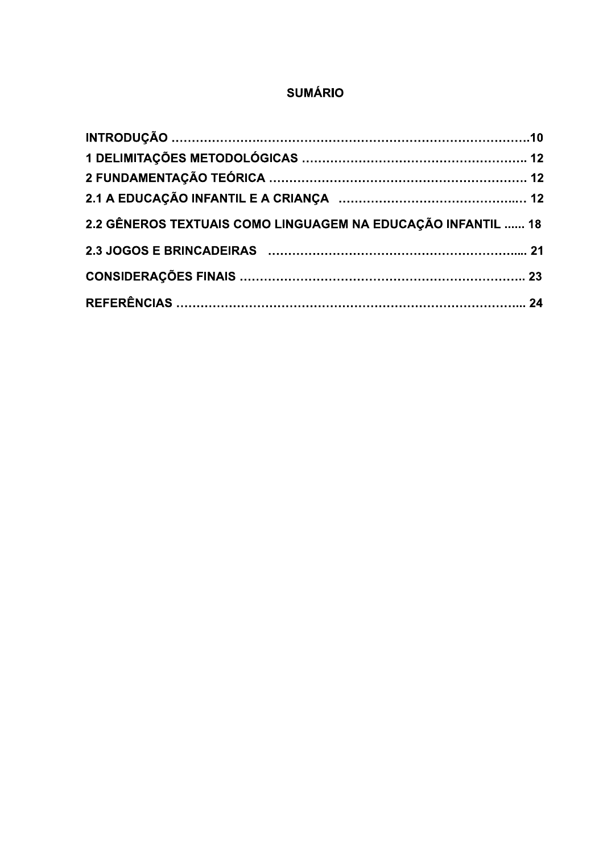# **SUMÁRIO**

| 2.2 GÊNEROS TEXTUAIS COMO LINGUAGEM NA EDUCAÇÃO INFANTIL  18 |  |
|--------------------------------------------------------------|--|
|                                                              |  |
|                                                              |  |
|                                                              |  |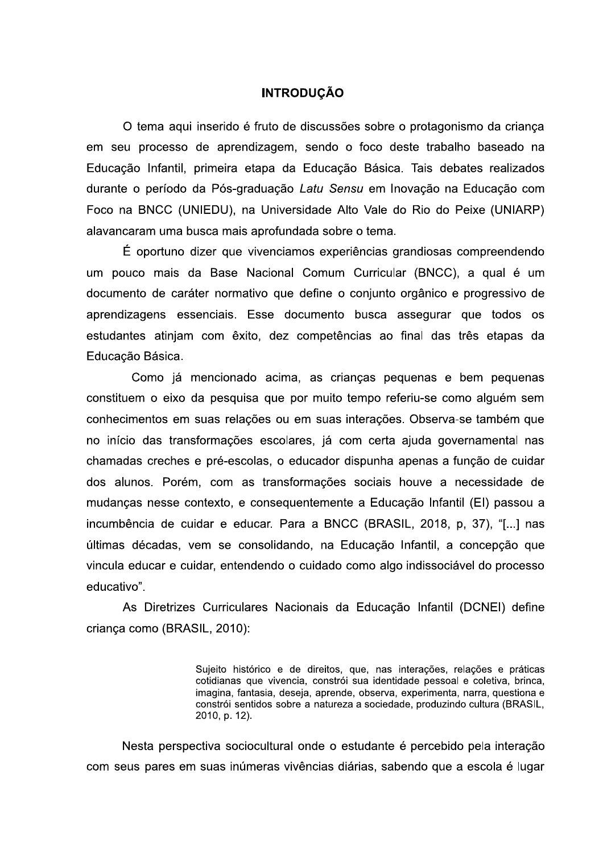#### **INTRODUÇÃO**

O tema aqui inserido é fruto de discussões sobre o protagonismo da criança em seu processo de aprendizagem, sendo o foco deste trabalho baseado na Educação Infantil, primeira etapa da Educação Básica. Tais debates realizados durante o período da Pós-graduação Latu Sensu em Inovação na Educação com Foco na BNCC (UNIEDU), na Universidade Alto Vale do Rio do Peixe (UNIARP) alavancaram uma busca mais aprofundada sobre o tema.

É oportuno dizer que vivenciamos experiências grandiosas compreendendo um pouco mais da Base Nacional Comum Curricular (BNCC), a qual é um documento de caráter normativo que define o conjunto orgânico e progressivo de aprendizagens essenciais. Esse documento busca assegurar que todos os estudantes atinjam com êxito, dez competências ao final das três etapas da Educação Básica.

Como já mencionado acima, as crianças pequenas e bem pequenas constituem o eixo da pesquisa que por muito tempo referiu-se como alguém sem conhecimentos em suas relações ou em suas interações. Observa-se também que no início das transformações escolares, já com certa ajuda governamental nas chamadas creches e pré-escolas, o educador dispunha apenas a função de cuidar dos alunos. Porém, com as transformações sociais houve a necessidade de mudanças nesse contexto, e consequentemente a Educação Infantil (EI) passou a incumbência de cuidar e educar. Para a BNCC (BRASIL, 2018, p, 37), "[...] nas últimas décadas, vem se consolidando, na Educação Infantil, a concepção que vincula educar e cuidar, entendendo o cuidado como algo indissociável do processo educativo".

As Diretrizes Curriculares Nacionais da Educação Infantil (DCNEI) define criança como (BRASIL, 2010):

> Sujeito histórico e de direitos, que, nas interações, relações e práticas cotidianas que vivencia, constrói sua identidade pessoal e coletiva, brinca, imagina, fantasia, deseja, aprende, observa, experimenta, narra, questiona e constrói sentidos sobre a natureza a sociedade, produzindo cultura (BRASIL, 2010, p. 12).

Nesta perspectiva sociocultural onde o estudante é percebido pela interação com seus pares em suas inúmeras vivências diárias, sabendo que a escola é lugar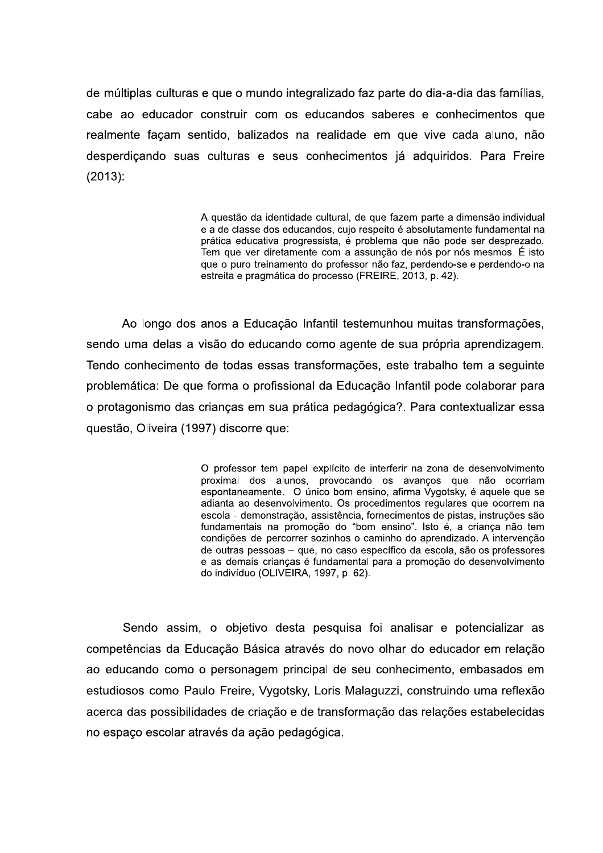de múltiplas culturas e que o mundo integralizado faz parte do dia-a-dia das famílias, cabe ao educador construir com os educandos saberes e conhecimentos que realmente façam sentido, balizados na realidade em que vive cada aluno, não desperdicando suas culturas e seus conhecimentos já adquiridos. Para Freire  $(2013):$ 

> A questão da identidade cultural, de que fazem parte a dimensão individual e a de classe dos educandos, cujo respeito é absolutamente fundamental na prática educativa progressista, é problema que não pode ser desprezado. Tem que ver diretamente com a assunção de nós por nós mesmos. É isto que o puro treinamento do professor não faz. perdendo-se e perdendo-o na estreita e pragmática do processo (FREIRE, 2013, p. 42).

Ao longo dos anos a Educação Infantil testemunhou muitas transformações, sendo uma delas a visão do educando como agente de sua própria aprendizagem. Tendo conhecimento de todas essas transformações, este trabalho tem a seguinte problemática: De que forma o profissional da Educação Infantil pode colaborar para o protagonismo das criancas em sua prática pedagógica?. Para contextualizar essa questão, Oliveira (1997) discorre que:

> O professor tem papel explícito de interferir na zona de desenvolvimento proximal dos alunos, provocando os avancos que não ocorriam espontaneamente. O único bom ensino, afirma Vygotsky, é aquele que se adianta ao desenvolvimento. Os procedimentos regulares que ocorrem na escola - demonstração, assistência, fornecimentos de pistas, instruções são fundamentais na promoção do "bom ensino". Isto é, a criança não tem condições de percorrer sozinhos o caminho do aprendizado. A intervenção de outras pessoas - que, no caso específico da escola, são os professores e as demais crianças é fundamental para a promoção do desenvolvimento do indivíduo (OLIVEIRA, 1997, p. 62).

Sendo assim, o objetivo desta pesquisa foi analisar e potencializar as competências da Educação Básica através do novo olhar do educador em relação ao educando como o personagem principal de seu conhecimento, embasados em estudiosos como Paulo Freire, Vygotsky, Loris Malaguzzi, construindo uma reflexão acerca das possibilidades de criação e de transformação das relações estabelecidas no espaço escolar através da ação pedagógica.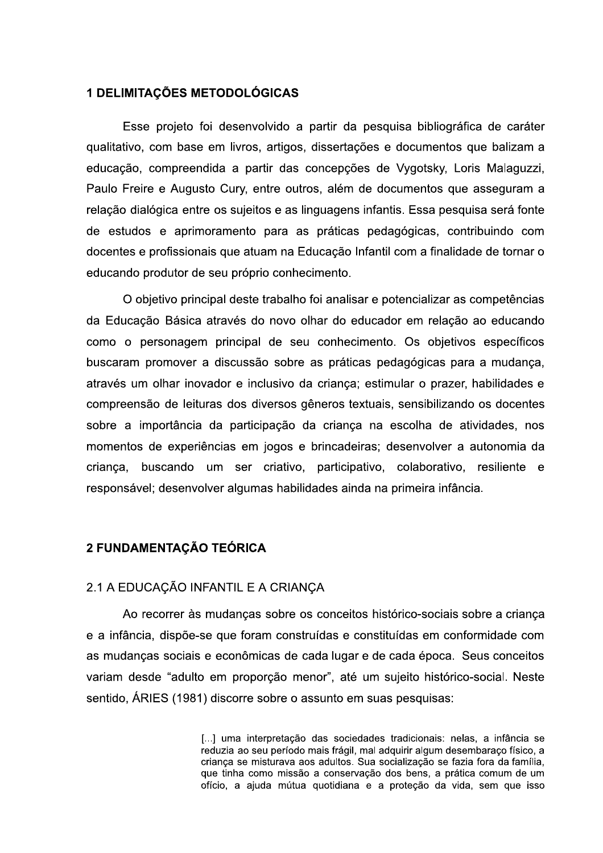#### **1 DELIMITAÇÕES METODOLÓGICAS**

Esse projeto foi desenvolvido a partir da pesquisa bibliográfica de caráter qualitativo, com base em livros, artigos, dissertações e documentos que balizam a educação, compreendida a partir das concepções de Vygotsky, Loris Malaguzzi, Paulo Freire e Augusto Cury, entre outros, além de documentos que asseguram a relação dialógica entre os sujeitos e as linguagens infantis. Essa pesquisa será fonte de estudos e aprimoramento para as práticas pedagógicas, contribuindo com docentes e profissionais que atuam na Educação Infantil com a finalidade de tornar o educando produtor de seu próprio conhecimento.

O objetivo principal deste trabalho foi analisar e potencializar as competências da Educação Básica através do novo olhar do educador em relação ao educando como o personagem principal de seu conhecimento. Os objetivos específicos buscaram promover a discussão sobre as práticas pedagógicas para a mudança, através um olhar inovador e inclusivo da criança; estimular o prazer, habilidades e compreensão de leituras dos diversos gêneros textuais, sensibilizando os docentes sobre a importância da participação da criança na escolha de atividades, nos momentos de experiências em jogos e brincadeiras; desenvolver a autonomia da crianca, buscando um ser criativo, participativo, colaborativo, resiliente e responsável; desenvolver algumas habilidades ainda na primeira infância.

#### 2 FUNDAMENTAÇÃO TEÓRICA

#### 2.1 A EDUCAÇÃO INFANTIL E A CRIANÇA

Ao recorrer às mudanças sobre os conceitos histórico-sociais sobre a criança e a infância, dispõe-se que foram construídas e constituídas em conformidade com as mudanças sociais e econômicas de cada lugar e de cada época. Seus conceitos variam desde "adulto em proporção menor", até um sujeito histórico-social. Neste sentido, ÁRIES (1981) discorre sobre o assunto em suas pesquisas:

> [...] uma interpretação das sociedades tradicionais: nelas, a infância se reduzia ao seu período mais frágil, mal adquirir algum desembaraco físico, a crianca se misturava aos adultos. Sua socialização se fazia fora da família. que tinha como missão a conservação dos bens, a prática comum de um ofício, a ajuda mútua quotidiana e a proteção da vida, sem que isso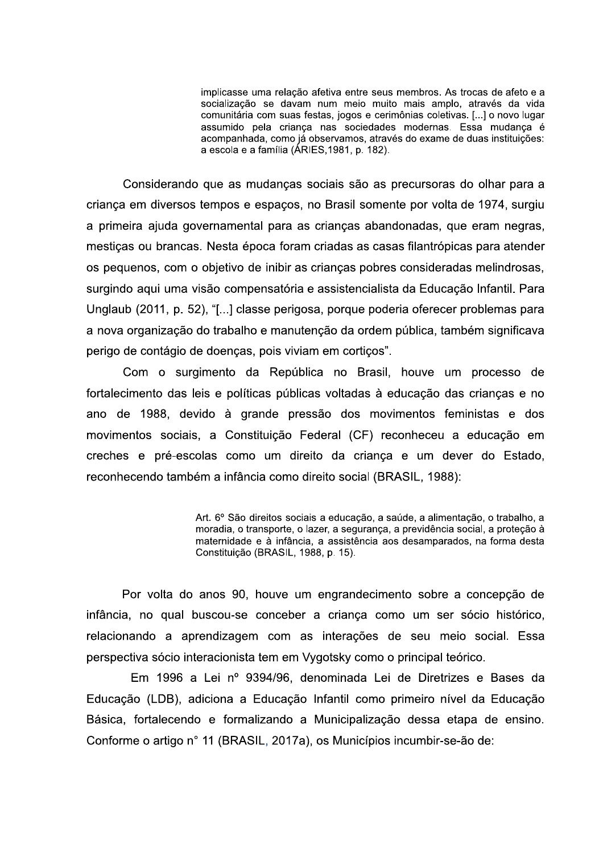implicasse uma relação afetiva entre seus membros. As trocas de afeto e a socialização se davam num meio muito mais amplo, através da vida comunitária com suas festas, jogos e cerimônias coletivas. [...] o novo lugar assumido pela criança nas sociedades modernas. Essa mudança é acompanhada, como já observamos, através do exame de duas instituições: a escola e a família (ÁRIES,1981, p. 182).

Considerando que as mudanças sociais são as precursoras do olhar para a criança em diversos tempos e espaços, no Brasil somente por volta de 1974, surgiu a primeira ajuda governamental para as crianças abandonadas, que eram negras, mestiças ou brancas. Nesta época foram criadas as casas filantrópicas para atender os pequenos, com o objetivo de inibir as crianças pobres consideradas melindrosas, surgindo aqui uma visão compensatória e assistencialista da Educação Infantil. Para Unglaub (2011, p. 52), "[...] classe perigosa, porque poderia oferecer problemas para a nova organização do trabalho e manutenção da ordem pública, também significava perigo de contágio de doenças, pois viviam em cortiços".

Com o surgimento da República no Brasil, houve um processo de fortalecimento das leis e políticas públicas voltadas à educação das crianças e no ano de 1988, devido à grande pressão dos movimentos feministas e dos movimentos sociais, a Constituição Federal (CF) reconheceu a educação em creches e pré-escolas como um direito da criança e um dever do Estado, reconhecendo também a infância como direito social (BRASIL, 1988):

> Art. 6º São direitos sociais a educação, a saúde, a alimentação, o trabalho, a moradia, o transporte, o lazer, a segurança, a previdência social, a proteção à maternidade e à infância, a assistência aos desamparados, na forma desta Constituição (BRASIL, 1988, p. 15).

Por volta do anos 90, houve um engrandecimento sobre a concepção de infância, no qual buscou-se conceber a criança como um ser sócio histórico, relacionando a aprendizagem com as interações de seu meio social. Essa perspectiva sócio interacionista tem em Vygotsky como o principal teórico.

Em 1996 a Lei nº 9394/96, denominada Lei de Diretrizes e Bases da Educação (LDB), adiciona a Educação Infantil como primeiro nível da Educação Básica, fortalecendo e formalizando a Municipalização dessa etapa de ensino. Conforme o artigo nº 11 (BRASIL, 2017a), os Municípios incumbir-se-ão de: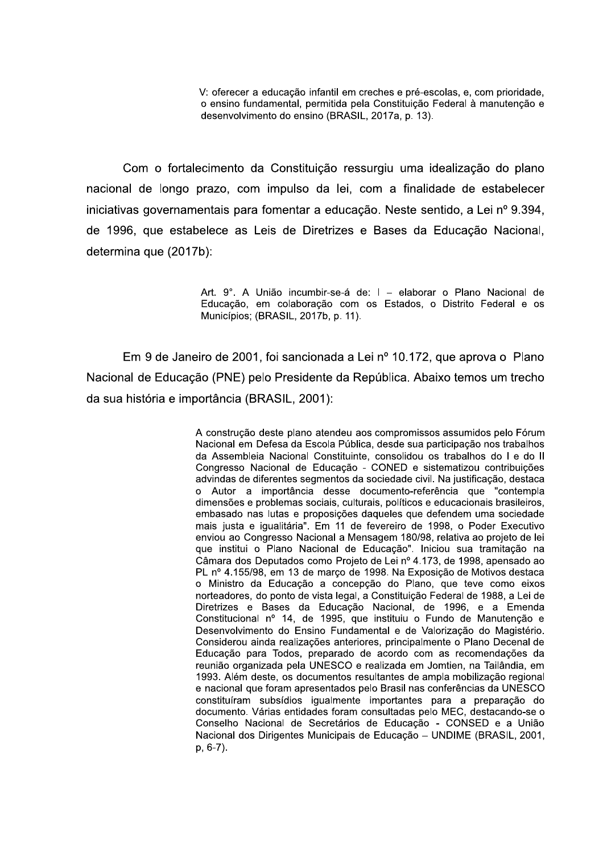V: oferecer a educação infantil em creches e pré-escolas, e, com prioridade, o ensino fundamental, permitida pela Constituição Federal à manutenção e desenvolvimento do ensino (BRASIL, 2017a, p. 13).

Com o fortalecimento da Constituição ressurgiu uma idealização do plano nacional de longo prazo, com impulso da lei, com a finalidade de estabelecer iniciativas governamentais para fomentar a educação. Neste sentido, a Lei nº 9.394, de 1996, que estabelece as Leis de Diretrizes e Bases da Educação Nacional, determina que (2017b):

> Art. 9°. A União incumbir-se-á de: I - elaborar o Plano Nacional de Educação, em colaboração com os Estados, o Distrito Federal e os Municípios; (BRASIL, 2017b, p. 11).

Em 9 de Janeiro de 2001, foi sancionada a Lei nº 10.172, que aprova o Plano Nacional de Educação (PNE) pelo Presidente da República. Abaixo temos um trecho da sua história e importância (BRASIL, 2001):

> A construção deste plano atendeu aos compromissos assumidos pelo Fórum Nacional em Defesa da Escola Pública, desde sua participação nos trabalhos da Assembleia Nacional Constituinte, consolidou os trabalhos do I e do II Congresso Nacional de Educação - CONED e sistematizou contribuições advindas de diferentes segmentos da sociedade civil. Na justificação, destaca o Autor a importância desse documento-referência que "contempla dimensões e problemas sociais, culturais, políticos e educacionais brasileiros, embasado nas lutas e proposições daqueles que defendem uma sociedade mais justa e igualitária". Em 11 de fevereiro de 1998, o Poder Executivo enviou ao Congresso Nacional a Mensagem 180/98, relativa ao projeto de lei que institui o Plano Nacional de Educação". Iniciou sua tramitação na Câmara dos Deputados como Projeto de Lei nº 4.173, de 1998, apensado ao PL nº 4.155/98, em 13 de março de 1998. Na Exposição de Motivos destaca o Ministro da Educação a concepção do Plano, que teve como eixos norteadores, do ponto de vista legal, a Constituição Federal de 1988, a Lei de Diretrizes e Bases da Educação Nacional, de 1996, e a Emenda Constitucional nº 14, de 1995, que instituiu o Fundo de Manutenção e Desenvolvimento do Ensino Fundamental e de Valorização do Magistério. Considerou ainda realizações anteriores, principalmente o Plano Decenal de Educação para Todos, preparado de acordo com as recomendações da reunião organizada pela UNESCO e realizada em Jomtien, na Tailândia, em 1993. Além deste, os documentos resultantes de ampla mobilização regional e nacional que foram apresentados pelo Brasil nas conferências da UNESCO constituíram subsídios igualmente importantes para a preparação do documento. Várias entidades foram consultadas pelo MEC, destacando-se o Conselho Nacional de Secretários de Educação - CONSED e a União Nacional dos Dirigentes Municipais de Educação - UNDIME (BRASIL, 2001,  $p, 6-7$ ).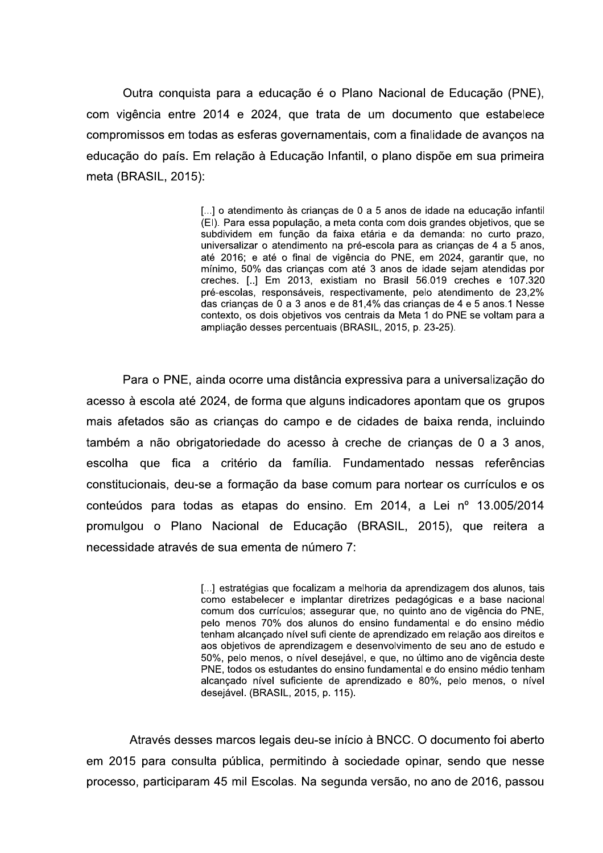Outra conquista para a educação é o Plano Nacional de Educação (PNE), com vigência entre 2014 e 2024, que trata de um documento que estabelece compromissos em todas as esferas governamentais, com a finalidade de avanços na educação do país. Em relação à Educação Infantil, o plano dispõe em sua primeira meta (BRASIL, 2015):

> [...] o atendimento às crianças de 0 a 5 anos de idade na educação infantil (EI). Para essa população, a meta conta com dois grandes objetivos, que se subdividem em função da faixa etária e da demanda: no curto prazo, universalizar o atendimento na pré-escola para as crianças de 4 a 5 anos, até 2016; e até o final de vigência do PNE, em 2024, garantir que, no mínimo, 50% das crianças com até 3 anos de idade sejam atendidas por creches. [..] Em 2013, existiam no Brasil 56.019 creches e 107.320 pré-escolas, responsáveis, respectivamente, pelo atendimento de 23,2% das crianças de 0 a 3 anos e de 81,4% das crianças de 4 e 5 anos.1 Nesse contexto, os dois objetivos vos centrais da Meta 1 do PNE se voltam para a ampliação desses percentuais (BRASIL, 2015, p. 23-25).

Para o PNE, ainda ocorre uma distância expressiva para a universalização do acesso à escola até 2024, de forma que alguns indicadores apontam que os grupos mais afetados são as crianças do campo e de cidades de baixa renda, incluindo também a não obrigatoriedade do acesso à creche de criancas de 0 a 3 anos. escolha que fica a critério da família. Fundamentado nessas referências constitucionais, deu-se a formação da base comum para nortear os currículos e os conteúdos para todas as etapas do ensino. Em 2014, a Lei nº 13.005/2014 promulgou o Plano Nacional de Educação (BRASIL, 2015), que reitera a necessidade através de sua ementa de número 7:

> [...] estratégias que focalizam a melhoria da aprendizagem dos alunos, tais como estabelecer e implantar diretrizes pedagógicas e a base nacional comum dos currículos; assegurar que, no quinto ano de vigência do PNE, pelo menos 70% dos alunos do ensino fundamental e do ensino médio tenham alcançado nível sufi ciente de aprendizado em relação aos direitos e aos objetivos de aprendizagem e desenvolvimento de seu ano de estudo e 50%, pelo menos, o nível desejável, e que, no último ano de vigência deste PNE, todos os estudantes do ensino fundamental e do ensino médio tenham alcançado nível suficiente de aprendizado e 80%, pelo menos, o nível desejável. (BRASIL, 2015, p. 115).

Através desses marcos legais deu-se início à BNCC. O documento foi aberto em 2015 para consulta pública, permitindo à sociedade opinar, sendo que nesse processo, participaram 45 mil Escolas. Na segunda versão, no ano de 2016, passou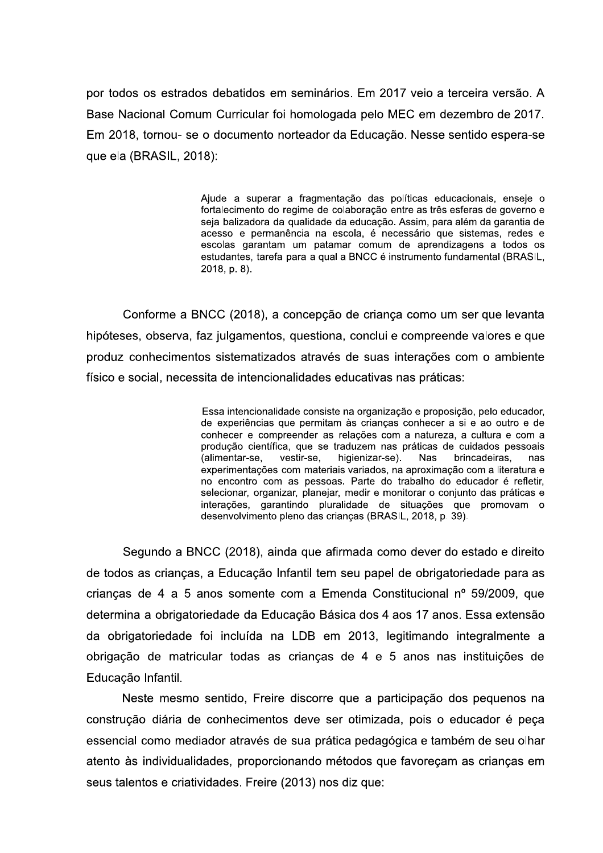por todos os estrados debatidos em seminários. Em 2017 veio a terceira versão. A Base Nacional Comum Curricular foi homologada pelo MEC em dezembro de 2017. Em 2018, tornou- se o documento norteador da Educação. Nesse sentido espera-se que ela (BRASIL, 2018):

> Ajude a superar a fragmentação das políticas educacionais, enseje o fortalecimento do regime de colaboração entre as três esferas de governo e seja balizadora da gualidade da educação. Assim, para além da garantia de acesso e permanência na escola, é necessário que sistemas, redes e escolas garantam um patamar comum de aprendizagens a todos os estudantes, tarefa para a qual a BNCC é instrumento fundamental (BRASIL, 2018, p. 8).

Conforme a BNCC (2018), a concepção de criança como um ser que levanta hipóteses, observa, faz julgamentos, questiona, conclui e compreende valores e que produz conhecimentos sistematizados através de suas interações com o ambiente físico e social, necessita de intencionalidades educativas nas práticas:

> Essa intencionalidade consiste na organização e proposição, pelo educador, de experiências que permitam às crianças conhecer a si e ao outro e de conhecer e compreender as relações com a natureza, a cultura e com a produção científica, que se traduzem nas práticas de cuidados pessoais (alimentar-se, vestir-se, higienizar-se). **Nas** brincadeiras. nas experimentações com materiais variados, na aproximação com a literatura e no encontro com as pessoas. Parte do trabalho do educador é refletir, selecionar, organizar, planejar, medir e monitorar o conjunto das práticas e interações, garantindo pluralidade de situações que promovam o desenvolvimento pleno das crianças (BRASIL, 2018, p. 39).

Segundo a BNCC (2018), ainda que afirmada como dever do estado e direito de todos as crianças, a Educação Infantil tem seu papel de obrigatoriedade para as crianças de 4 a 5 anos somente com a Emenda Constitucional nº 59/2009, que determina a obrigatoriedade da Educação Básica dos 4 aos 17 anos. Essa extensão da obrigatoriedade foi incluída na LDB em 2013, legitimando integralmente a obrigação de matricular todas as crianças de 4 e 5 anos nas instituições de Educação Infantil.

Neste mesmo sentido, Freire discorre que a participação dos pequenos na construção diária de conhecimentos deve ser otimizada, pois o educador é peça essencial como mediador através de sua prática pedagógica e também de seu olhar atento às individualidades, proporcionando métodos que favoreçam as crianças em seus talentos e criatividades. Freire (2013) nos diz que: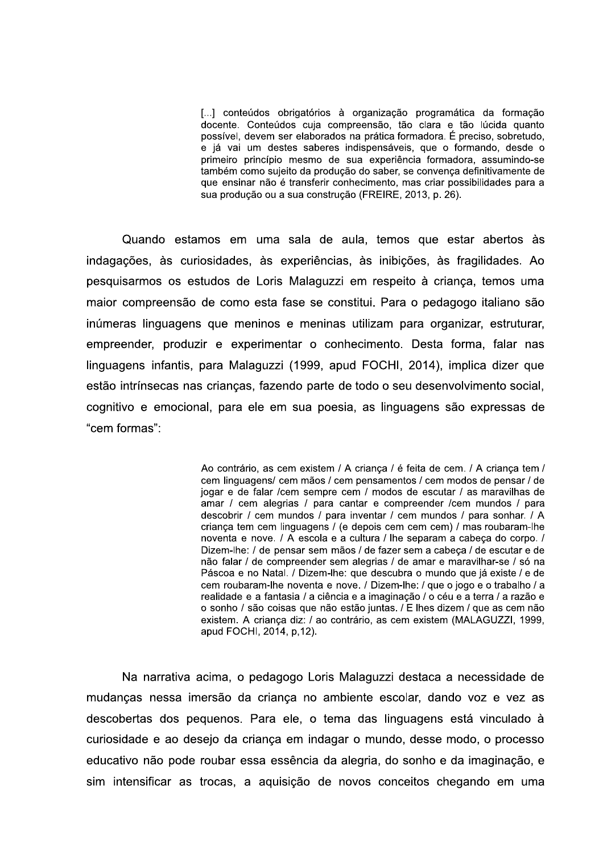[...] conteúdos obrigatórios à organização programática da formação docente. Conteúdos cuja compreensão, tão clara e tão lúcida quanto possível, devem ser elaborados na prática formadora. É preciso, sobretudo, e já vai um destes saberes indispensáveis, que o formando, desde o primeiro princípio mesmo de sua experiência formadora, assumindo-se também como sujeito da produção do saber, se convença definitivamente de que ensinar não é transferir conhecimento, mas criar possibilidades para a sua produção ou a sua construção (FREIRE, 2013, p. 26).

Quando estamos em uma sala de aula, temos que estar abertos às indagações, às curiosidades, às experiências, às inibições, às fragilidades. Ao pesquisarmos os estudos de Loris Malaguzzi em respeito à criança, temos uma maior compreensão de como esta fase se constitui. Para o pedagogo italiano são inúmeras linguagens que meninos e meninas utilizam para organizar, estruturar, empreender, produzir e experimentar o conhecimento. Desta forma, falar nas linguagens infantis, para Malaguzzi (1999, apud FOCHI, 2014), implica dizer que estão intrínsecas nas criancas, fazendo parte de todo o seu desenvolvimento social. cognitivo e emocional, para ele em sua poesia, as linguagens são expressas de "cem formas":

> Ao contrário, as cem existem / A criança / é feita de cem. / A criança tem / cem linguagens/ cem mãos / cem pensamentos / cem modos de pensar / de jogar e de falar /cem sempre cem / modos de escutar / as maravilhas de amar / cem alegrias / para cantar e compreender / cem mundos / para descobrir / cem mundos / para inventar / cem mundos / para sonhar. / A crianca tem cem linguagens / (e depois cem cem cem) / mas roubaram-lhe noventa e nove. / A escola e a cultura / lhe separam a cabeca do corpo. / Dizem-lhe: / de pensar sem mãos / de fazer sem a cabeça / de escutar e de não falar / de compreender sem alegrias / de amar e maravilhar-se / só na Páscoa e no Natal. / Dizem-lhe: que descubra o mundo que já existe / e de cem roubaram-lhe noventa e nove. / Dizem-lhe: / que o jogo e o trabalho / a realidade e a fantasia / a ciência e a imaginação / o céu e a terra / a razão e o sonho / são coisas que não estão juntas. / E lhes dizem / que as cem não existem. A crianca diz: / ao contrário, as cem existem (MALAGUZZI, 1999, apud FOCHI, 2014, p, 12).

Na narrativa acima, o pedagogo Loris Malaguzzi destaca a necessidade de mudanças nessa imersão da criança no ambiente escolar, dando voz e vez as descobertas dos pequenos. Para ele, o tema das linguagens está vinculado à curiosidade e ao desejo da criança em indagar o mundo, desse modo, o processo educativo não pode roubar essa essência da alegria, do sonho e da imaginação, e sim intensificar as trocas, a aquisição de novos conceitos chegando em uma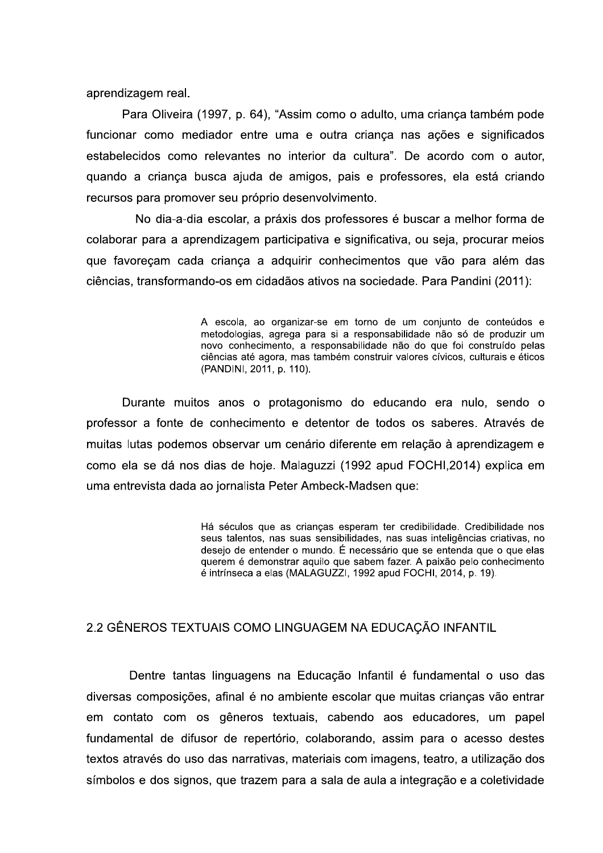aprendizagem real.

Para Oliveira (1997, p. 64), "Assim como o adulto, uma criança também pode funcionar como mediador entre uma e outra criança nas ações e significados estabelecidos como relevantes no interior da cultura". De acordo com o autor, quando a criança busca ajuda de amigos, pais e professores, ela está criando recursos para promover seu próprio desenvolvimento.

No dia-a-dia escolar, a práxis dos professores é buscar a melhor forma de colaborar para a aprendizagem participativa e significativa, ou seja, procurar meios que favoreçam cada criança a adquirir conhecimentos que vão para além das ciências, transformando-os em cidadãos ativos na sociedade. Para Pandini (2011):

> A escola, ao organizar-se em torno de um conjunto de conteúdos e metodologias, agrega para si a responsabilidade não só de produzir um novo conhecimento, a responsabilidade não do que foi construído pelas ciências até agora, mas também construir valores cívicos, culturais e éticos (PANDINI, 2011, p. 110).

Durante muitos anos o protagonismo do educando era nulo, sendo o professor a fonte de conhecimento e detentor de todos os saberes. Através de muitas lutas podemos observar um cenário diferente em relação à aprendizagem e como ela se dá nos dias de hoje. Malaguzzi (1992 apud FOCHI, 2014) explica em uma entrevista dada ao jornalista Peter Ambeck-Madsen que:

> Há séculos que as crianças esperam ter credibilidade. Credibilidade nos seus talentos, nas suas sensibilidades, nas suas inteligências criativas, no desejo de entender o mundo. É necessário que se entenda que o que elas querem é demonstrar aquilo que sabem fazer. A paixão pelo conhecimento é intrínseca a elas (MALAGUZZI, 1992 apud FOCHI, 2014, p. 19).

## 2.2 GÊNEROS TEXTUAIS COMO LINGUAGEM NA EDUCACÃO INFANTIL

Dentre tantas linguagens na Educação Infantil é fundamental o uso das diversas composições, afinal é no ambiente escolar que muitas crianças vão entrar em contato com os gêneros textuais, cabendo aos educadores, um papel fundamental de difusor de repertório, colaborando, assim para o acesso destes textos através do uso das narrativas, materiais com imagens, teatro, a utilização dos símbolos e dos signos, que trazem para a sala de aula a integração e a coletividade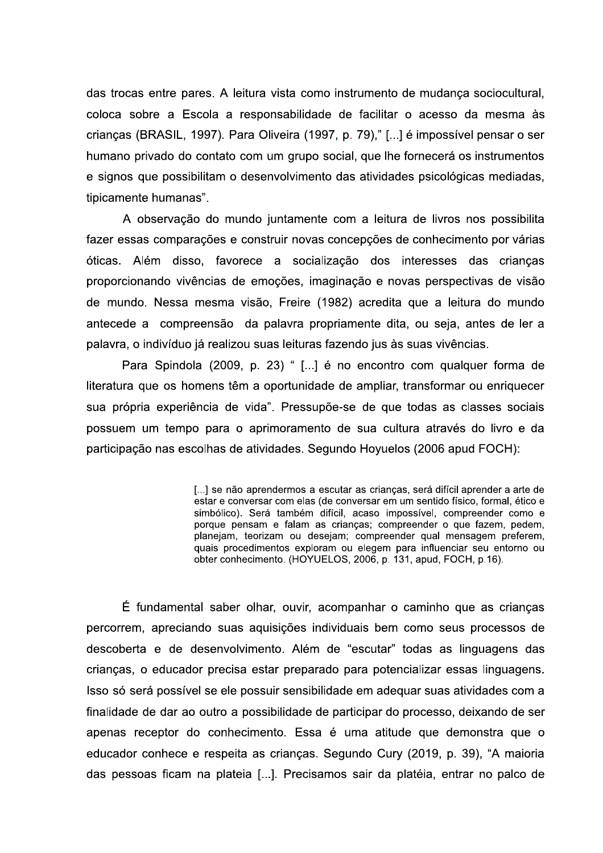das trocas entre pares. A leitura vista como instrumento de mudança sociocultural, coloca sobre a Escola a responsabilidade de facilitar o acesso da mesma às crianças (BRASIL, 1997). Para Oliveira (1997, p. 79)," [...] é impossível pensar o ser humano privado do contato com um grupo social, que lhe fornecerá os instrumentos e signos que possibilitam o desenvolvimento das atividades psicológicas mediadas, tipicamente humanas".

A observação do mundo juntamente com a leitura de livros nos possibilita fazer essas comparações e construir novas concepções de conhecimento por várias óticas. Além disso, favorece a socialização dos interesses das crianças proporcionando vivências de emoções, imaginação e novas perspectivas de visão de mundo. Nessa mesma visão, Freire (1982) acredita que a leitura do mundo antecede a compreensão da palavra propriamente dita, ou seja, antes de ler a palavra, o indivíduo já realizou suas leituras fazendo jus às suas vivências.

Para Spindola (2009, p. 23) " [...] é no encontro com qualquer forma de literatura que os homens têm a oportunidade de ampliar, transformar ou enriquecer sua própria experiência de vida". Pressupõe-se de que todas as classes sociais possuem um tempo para o aprimoramento de sua cultura através do livro e da participação nas escolhas de atividades. Segundo Hoyuelos (2006 apud FOCH):

> [...] se não aprendermos a escutar as crianças, será difícil aprender a arte de estar e conversar com elas (de conversar em um sentido físico, formal, ético e simbólico). Será também difícil, acaso impossível, compreender como e porque pensam e falam as crianças; compreender o que fazem, pedem, planejam, teorizam ou desejam; compreender qual mensagem preferem, quais procedimentos exploram ou elegem para influenciar seu entorno ou obter conhecimento. (HOYUELOS, 2006, p. 131, apud, FOCH, p.16).

É fundamental saber olhar, ouvir, acompanhar o caminho que as crianças percorrem, apreciando suas aquisições individuais bem como seus processos de descoberta e de desenvolvimento. Além de "escutar" todas as linguagens das crianças, o educador precisa estar preparado para potencializar essas linguagens. Isso só será possível se ele possuir sensibilidade em adequar suas atividades com a finalidade de dar ao outro a possibilidade de participar do processo, deixando de ser apenas receptor do conhecimento. Essa é uma atitude que demonstra que o educador conhece e respeita as crianças. Segundo Cury (2019, p. 39), "A maioria das pessoas ficam na plateia [...]. Precisamos sair da platéia, entrar no palco de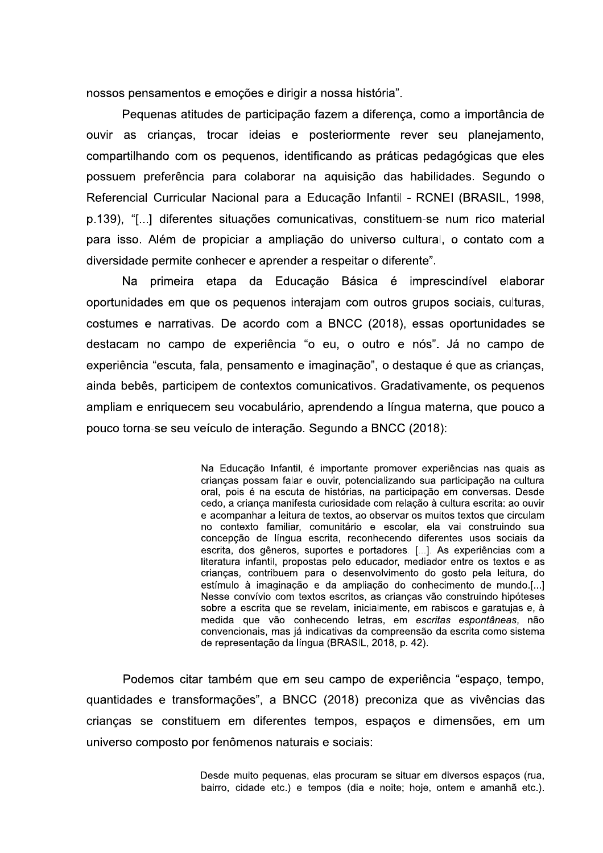nossos pensamentos e emoções e dirigir a nossa história".

Pequenas atitudes de participação fazem a diferença, como a importância de ouvir as crianças, trocar ideias e posteriormente rever seu planejamento, compartilhando com os pequenos, identificando as práticas pedagógicas que eles possuem preferência para colaborar na aquisição das habilidades. Segundo o Referencial Curricular Nacional para a Educação Infantil - RCNEI (BRASIL, 1998, p.139). "[...] diferentes situacões comunicativas, constituem-se num rico material para isso. Além de propiciar a ampliação do universo cultural, o contato com a diversidade permite conhecer e aprender a respeitar o diferente".

Na primeira etapa da Educação Básica é imprescindível elaborar oportunidades em que os pequenos interajam com outros grupos sociais, culturas, costumes e narrativas. De acordo com a BNCC (2018), essas oportunidades se destacam no campo de experiência "o eu, o outro e nós". Já no campo de experiência "escuta, fala, pensamento e imaginação", o destague é que as crianças, ainda bebês, participem de contextos comunicativos. Gradativamente, os pequenos ampliam e enriguecem seu vocabulário, aprendendo a língua materna, que pouco a pouco torna-se seu veículo de interação. Segundo a BNCC (2018):

> Na Educação Infantil, é importante promover experiências nas quais as crianças possam falar e ouvir, potencializando sua participação na cultura oral, pois é na escuta de histórias, na participação em conversas. Desde cedo, a criança manifesta curiosidade com relação à cultura escrita: ao ouvir e acompanhar a leitura de textos, ao observar os muitos textos que circulam no contexto familiar, comunitário e escolar, ela vai construindo sua concepção de língua escrita, reconhecendo diferentes usos sociais da escrita, dos gêneros, suportes e portadores. [...]. As experiências com a literatura infantil, propostas pelo educador, mediador entre os textos e as crianças, contribuem para o desenvolvimento do gosto pela leitura, do estímulo à imaginação e da ampliação do conhecimento de mundo.[...] Nesse convívio com textos escritos, as crianças vão construindo hipóteses sobre a escrita que se revelam, inicialmente, em rabiscos e garatujas e, à medida que vão conhecendo letras, em escritas espontâneas, não convencionais, mas iá indicativas da compreensão da escrita como sistema de representação da língua (BRASIL, 2018, p. 42).

Podemos citar também que em seu campo de experiência "espaço, tempo, quantidades e transformações", a BNCC (2018) preconiza que as vivências das crianças se constituem em diferentes tempos, espaços e dimensões, em um universo composto por fenômenos naturais e sociais:

> Desde muito pequenas, elas procuram se situar em diversos espaços (rua, bairro, cidade etc.) e tempos (dia e noite: hoie, ontem e amanhã etc.).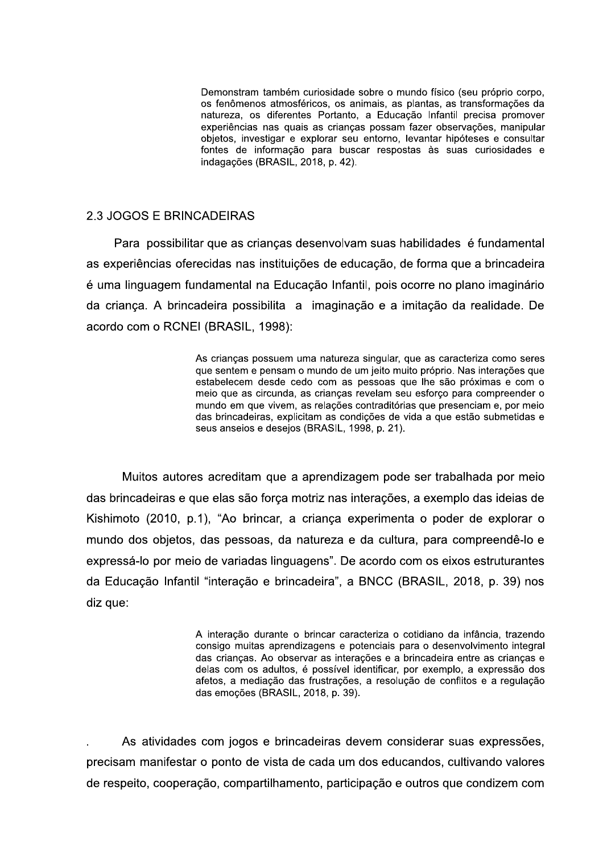Demonstram também curiosidade sobre o mundo físico (seu próprio corpo, os fenômenos atmosféricos, os animais, as plantas, as transformações da natureza, os diferentes Portanto, a Educação Infantil precisa promover experiências nas quais as crianças possam fazer observações, manipular objetos, investigar e explorar seu entorno, levantar hipóteses e consultar fontes de informação para buscar respostas às suas curiosidades e indagações (BRASIL, 2018, p. 42).

#### 2.3 JOGOS E BRINCADEIRAS

Para possibilitar que as crianças desenvolvam suas habilidades é fundamental as experiências oferecidas nas instituições de educação, de forma que a brincadeira é uma linguagem fundamental na Educação Infantil, pois ocorre no plano imaginário da criança. A brincadeira possibilita a imaginação e a imitação da realidade. De acordo com o RCNEI (BRASIL, 1998):

> As crianças possuem uma natureza singular, que as caracteriza como seres que sentem e pensam o mundo de um jeito muito próprio. Nas interações que estabelecem desde cedo com as pessoas que lhe são próximas e com o meio que as circunda, as crianças revelam seu esforço para compreender o mundo em que vivem, as relações contraditórias que presenciam e, por meio das brincadeiras, explicitam as condições de vida a que estão submetidas e seus anseios e desejos (BRASIL, 1998, p. 21).

Muitos autores acreditam que a aprendizagem pode ser trabalhada por meio das brincadeiras e que elas são forca motriz nas interações, a exemplo das ideias de Kishimoto (2010, p.1), "Ao brincar, a criança experimenta o poder de explorar o mundo dos objetos, das pessoas, da natureza e da cultura, para compreendê-lo e expressá-lo por meio de variadas linguagens". De acordo com os eixos estruturantes da Educação Infantil "interação e brincadeira", a BNCC (BRASIL, 2018, p. 39) nos diz que:

> A interação durante o brincar caracteriza o cotidiano da infância, trazendo consigo muitas aprendizagens e potenciais para o desenvolvimento integral das crianças. Ao observar as interações e a brincadeira entre as crianças e delas com os adultos, é possível identificar, por exemplo, a expressão dos afetos, a mediação das frustrações, a resolução de conflitos e a regulação das emoções (BRASIL, 2018, p. 39).

As atividades com jogos e brincadeiras devem considerar suas expressões, precisam manifestar o ponto de vista de cada um dos educandos, cultivando valores de respeito, cooperação, compartilhamento, participação e outros que condizem com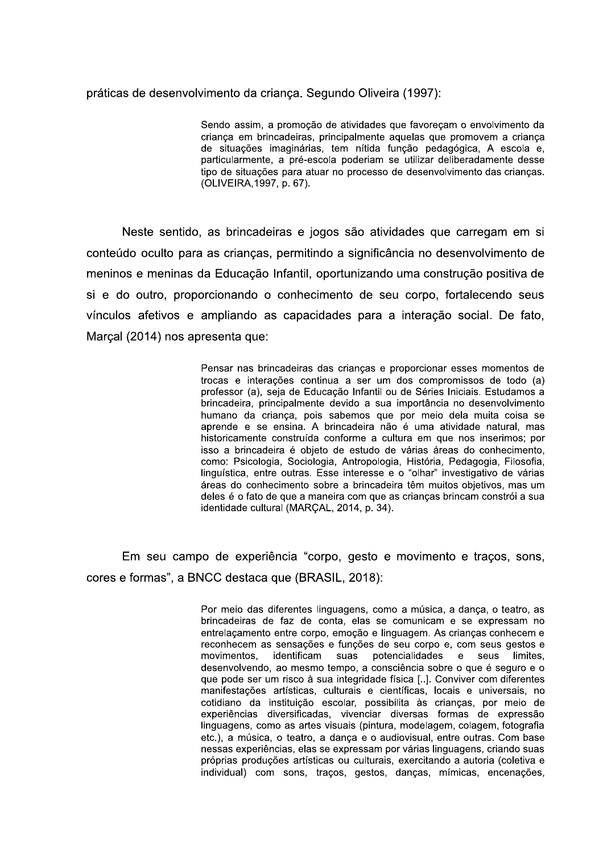#### práticas de desenvolvimento da criança. Segundo Oliveira (1997):

Sendo assim, a promoção de atividades que favoreçam o envolvimento da crianca em brincadeiras, principalmente aquelas que promovem a crianca de situações imaginárias, tem nítida função pedagógica, A escola e, particularmente, a pré-escola poderiam se utilizar deliberadamente desse tipo de situações para atuar no processo de desenvolvimento das crianças. (OLIVEIRA, 1997, p. 67).

Neste sentido, as brincadeiras e jogos são atividades que carregam em si conteúdo oculto para as criancas, permitindo a significância no desenvolvimento de meninos e meninas da Educação Infantil, oportunizando uma construção positiva de si e do outro, proporcionando o conhecimento de seu corpo, fortalecendo seus vínculos afetivos e ampliando as capacidades para a interação social. De fato, Marcal (2014) nos apresenta que:

> Pensar nas brincadeiras das crianças e proporcionar esses momentos de trocas e interações continua a ser um dos compromissos de todo (a) professor (a), seja de Educação Infantil ou de Séries Iniciais. Estudamos a brincadeira, principalmente devido a sua importância no desenvolvimento humano da criança, pois sabemos que por meio dela muita coisa se aprende e se ensina. A brincadeira não é uma atividade natural, mas historicamente construída conforme a cultura em que nos inserimos; por isso a brincadeira é obieto de estudo de várias áreas do conhecimento. como: Psicologia, Sociologia, Antropologia, História, Pedagogia, Filosofia, linguística, entre outras. Esse interesse e o "olhar" investigativo de várias áreas do conhecimento sobre a brincadeira têm muitos objetivos, mas um deles é o fato de que a maneira com que as crianças brincam constrói a sua identidade cultural (MARCAL, 2014, p. 34).

Em seu campo de experiência "corpo, gesto e movimento e traços, sons, cores e formas", a BNCC destaca que (BRASIL, 2018):

> Por meio das diferentes linguagens, como a música, a dança, o teatro, as brincadeiras de faz de conta, elas se comunicam e se expressam no entrelaçamento entre corpo, emoção e linguagem. As crianças conhecem e reconhecem as sensações e funções de seu corpo e, com seus gestos e identificam suas potencialidades movimentos.  $\mathbf{e}$ seus limites. desenvolvendo, ao mesmo tempo, a consciência sobre o que é seguro e o que pode ser um risco à sua integridade física [..]. Conviver com diferentes manifestações artísticas, culturais e científicas, locais e universais, no cotidiano da instituição escolar, possibilita às crianças, por meio de experiências diversificadas, vivenciar diversas formas de expressão linguagens, como as artes visuais (pintura, modelagem, colagem, fotografia etc.), a música, o teatro, a dança e o audiovisual, entre outras. Com base nessas experiências, elas se expressam por várias linguagens, criando suas próprias produções artísticas ou culturais, exercitando a autoria (coletiva e individual) com sons, traços, gestos, danças, mímicas, encenações,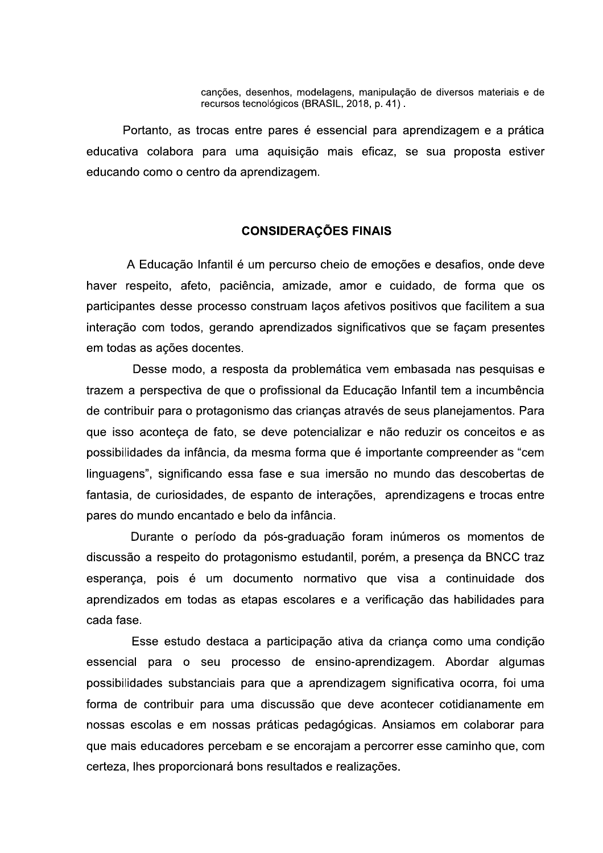canções, desenhos, modelagens, manipulação de diversos materiais e de recursos tecnológicos (BRASIL, 2018, p. 41).

Portanto, as trocas entre pares é essencial para aprendizagem e a prática educativa colabora para uma aguisição mais eficaz, se sua proposta estiver educando como o centro da aprendizagem.

#### **CONSIDERAÇÕES FINAIS**

A Educação Infantil é um percurso cheio de emoções e desafios, onde deve haver respeito, afeto, paciência, amizade, amor e cuidado, de forma que os participantes desse processo construam laços afetivos positivos que facilitem a sua interação com todos, gerando aprendizados significativos que se façam presentes em todas as ações docentes.

Desse modo, a resposta da problemática vem embasada nas pesquisas e trazem a perspectiva de que o profissional da Educação Infantil tem a incumbência de contribuir para o protagonismo das crianças através de seus planejamentos. Para que isso aconteca de fato, se deve potencializar e não reduzir os conceitos e as possibilidades da infância, da mesma forma que é importante compreender as "cem linguagens", significando essa fase e sua imersão no mundo das descobertas de fantasia, de curiosidades, de espanto de interações, aprendizagens e trocas entre pares do mundo encantado e belo da infância.

Durante o período da pós-graduação foram inúmeros os momentos de discussão a respeito do protagonismo estudantil, porém, a presença da BNCC traz esperança, pois é um documento normativo que visa a continuidade dos aprendizados em todas as etapas escolares e a verificação das habilidades para cada fase.

Esse estudo destaca a participação ativa da criança como uma condição essencial para o seu processo de ensino-aprendizagem. Abordar algumas possibilidades substanciais para que a aprendizagem significativa ocorra, foi uma forma de contribuir para uma discussão que deve acontecer cotidianamente em nossas escolas e em nossas práticas pedagógicas. Ansiamos em colaborar para que mais educadores percebam e se encorajam a percorrer esse caminho que, com certeza, lhes proporcionará bons resultados e realizações.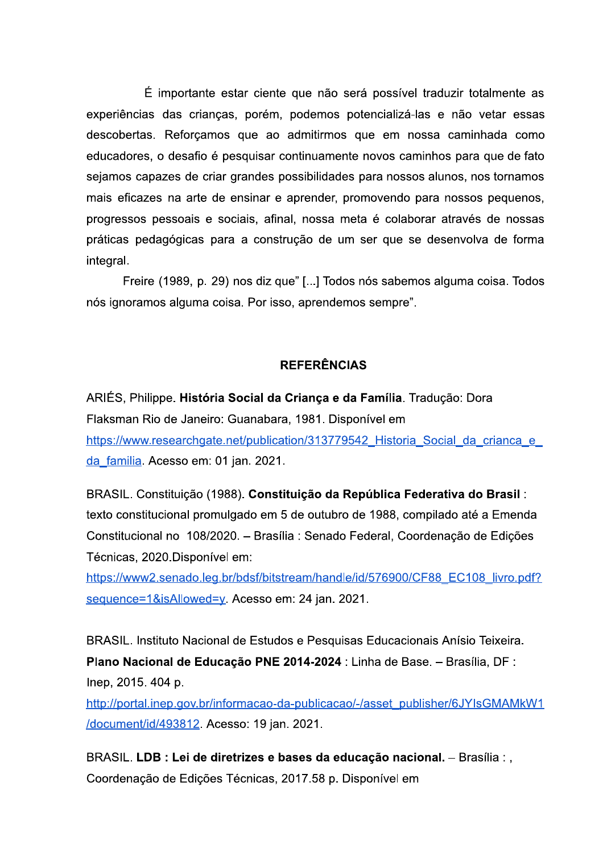É importante estar ciente que não será possível traduzir totalmente as experiências das crianças, porém, podemos potencializá-las e não vetar essas descobertas. Reforçamos que ao admitirmos que em nossa caminhada como educadores, o desafio é pesquisar continuamente novos caminhos para que de fato sejamos capazes de criar grandes possibilidades para nossos alunos, nos tornamos mais eficazes na arte de ensinar e aprender, promovendo para nossos pequenos, progressos pessoais e sociais, afinal, nossa meta é colaborar através de nossas práticas pedagógicas para a construção de um ser que se desenvolva de forma integral.

Freire (1989, p. 29) nos diz que" [...] Todos nós sabemos alguma coisa. Todos nós ignoramos alguma coisa. Por isso, aprendemos sempre".

## **REFERÊNCIAS**

ARIÉS, Philippe. História Social da Criança e da Família. Tradução: Dora Flaksman Rio de Janeiro: Guanabara, 1981. Disponível em https://www.researchgate.net/publication/313779542 Historia Social da crianca e da familia. Acesso em: 01 jan. 2021.

BRASIL. Constituição (1988). Constituição da República Federativa do Brasil: texto constitucional promulgado em 5 de outubro de 1988, compilado até a Emenda Constitucional no 108/2020. - Brasília : Senado Federal, Coordenação de Edições Técnicas, 2020. Disponível em:

https://www2.senado.leg.br/bdsf/bitstream/handle/id/576900/CF88 EC108 livro.pdf? sequence=1&isAllowed=y Acesso em: 24 jan. 2021.

BRASIL. Instituto Nacional de Estudos e Pesquisas Educacionais Anísio Teixeira. Plano Nacional de Educação PNE 2014-2024 : Linha de Base. - Brasília, DF : Inep, 2015. 404 p.

http://portal.inep.gov.br/informacao-da-publicacao/-/asset\_publisher/6JYIsGMAMkW1 /document/id/493812. Acesso: 19 jan. 2021.

BRASIL. LDB : Lei de diretrizes e bases da educação nacional. - Brasília : , Coordenação de Edições Técnicas, 2017.58 p. Disponível em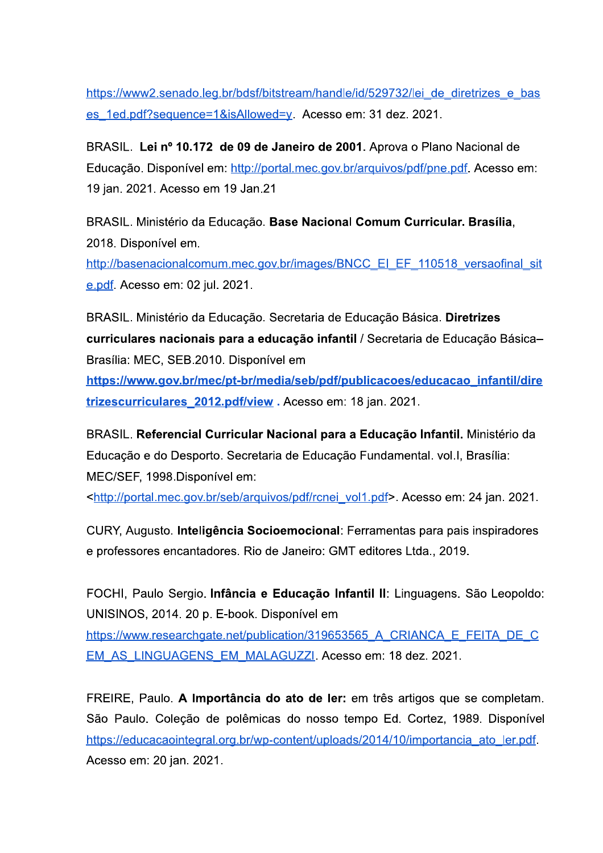https://www2.senado.leg.br/bdsf/bitstream/handle/id/529732/lei de diretrizes e bas es 1ed.pdf?sequence=1&isAllowed=y. Acesso em: 31 dez. 2021.

BRASIL. Lei nº 10.172 de 09 de Janeiro de 2001. Aprova o Plano Nacional de Educação. Disponível em: http://portal.mec.gov.br/arguivos/pdf/pne.pdf. Acesso em: 19 jan. 2021. Acesso em 19 Jan.21

BRASIL. Ministério da Educação. Base Nacional Comum Curricular. Brasília, 2018. Disponível em.

http://basenacionalcomum.mec.gov.br/images/BNCC\_EI\_EF\_110518\_versaofinal\_sit e.pdf. Acesso em: 02 jul. 2021.

BRASIL. Ministério da Educação. Secretaria de Educação Básica. Diretrizes curriculares nacionais para a educação infantil / Secretaria de Educação Básica-Brasília: MEC, SEB.2010. Disponível em

https://www.gov.br/mec/pt-br/media/seb/pdf/publicacoes/educacao infantil/dire trizescurriculares 2012.pdf/view. Acesso em: 18 jan. 2021.

BRASIL. Referencial Curricular Nacional para a Educação Infantil. Ministério da Educação e do Desporto. Secretaria de Educação Fundamental. vol. I, Brasília: MEC/SEF, 1998.Disponível em:

<http://portal.mec.gov.br/seb/arguivos/pdf/rcnei\_vol1.pdf>. Acesso em: 24 jan. 2021.

CURY, Augusto. Inteligência Socioemocional: Ferramentas para pais inspiradores e professores encantadores. Rio de Janeiro: GMT editores Ltda., 2019.

FOCHI, Paulo Sergio. Infância e Educação Infantil II: Linguagens. São Leopoldo: UNISINOS, 2014. 20 p. E-book. Disponível em

https://www.researchgate.net/publication/319653565 A CRIANCA E FEITA DE C EM AS LINGUAGENS EM MALAGUZZI. Acesso em: 18 dez. 2021.

FREIRE, Paulo. A Importância do ato de ler: em três artigos que se completam. São Paulo. Coleção de polêmicas do nosso tempo Ed. Cortez, 1989. Disponível https://educacaointegral.org.br/wp-content/uploads/2014/10/importancia ato ler.pdf. Acesso em: 20 jan. 2021.